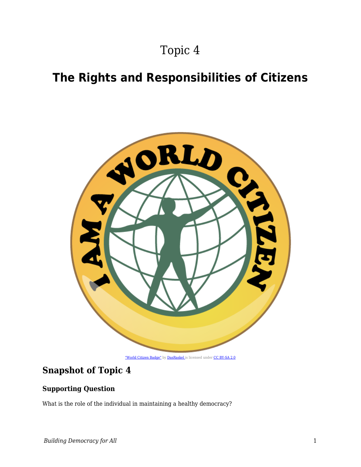# Topic 4

# **The Rights and Responsibilities of Citizens**



## **Snapshot of Topic 4**

## **Supporting Question**

What is the role of the individual in maintaining a healthy democracy?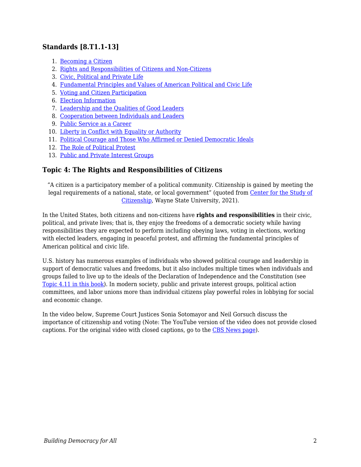## **Standards [8.T1.1-13]**

- 1. [Becoming a Citizen](https://edtechbooks.org/democracy/becoming)
- 2. [Rights and Responsibilities of Citizens and Non-Citizens](https://edtechbooks.org/democracy/rightsres)
- 3. [Civic, Political and Private Life](https://edtechbooks.org/democracy/life)
- 4. [Fundamental Principles and Values of American Political and Civic Life](https://edtechbooks.org/democracy/principles)
- 5. [Voting and Citizen Participation](https://edtechbooks.org/democracy/participation)
- 6. [Election Information](https://edtechbooks.org/democracy/electioninfo)
- 7. [Leadership and the Qualities of Good Leaders](https://edtechbooks.org/democracy/leadershipC)
- 8. [Cooperation between Individuals and Leaders](https://edtechbooks.org/democracy/cooperation)
- 9. [Public Service as a Career](https://edtechbooks.org/democracy/publicservice)
- 10. [Liberty in Conflict with Equality or Authority](https://edtechbooks.org/democracy/conflict)
- 11. [Political Courage and Those Who Affirmed or Denied Democratic Ideals](https://edtechbooks.org/democracy/courage)
- 12. [The Role of Political Protest](https://edtechbooks.org/democracy/protest)
- 13. [Public and Private Interest Groups](https://edtechbooks.org/democracy/interestgroups)

### **Topic 4: The Rights and Responsibilities of Citizens**

"A citizen is a participatory member of a political community. Citizenship is gained by meeting the legal requirements of a national, state, or local government" (quoted from [Center for the Study of](http://www.clas.wayne.edu/Citizenship/Definition-of-Citizenship) [Citizenship](http://www.clas.wayne.edu/Citizenship/Definition-of-Citizenship), Wayne State University, 2021).

In the United States, both citizens and non-citizens have **rights and responsibilities** in their civic, political, and private lives; that is, they enjoy the freedoms of a democratic society while having responsibilities they are expected to perform including obeying laws, voting in elections, working with elected leaders, engaging in peaceful protest, and affirming the fundamental principles of American political and civic life.

U.S. history has numerous examples of individuals who showed political courage and leadership in support of democratic values and freedoms, but it also includes multiple times when individuals and groups failed to live up to the ideals of the Declaration of Independence and the Constitution (see [Topic 4.11 in this book](https://edtechbooks.org/democracy/courage)). In modern society, public and private interest groups, political action committees, and labor unions more than individual citizens play powerful roles in lobbying for social and economic change.

In the video below, Supreme Court Justices Sonia Sotomayor and Neil Gorsuch discuss the importance of citizenship and voting (Note: The YouTube version of the video does not provide closed captions. For the original video with closed captions, go to the [CBS News page\)](https://www.cbsnews.com/news/supreme-court-justices-sonia-sotomayor-and-neil-gorsuch-promote-civics-education/).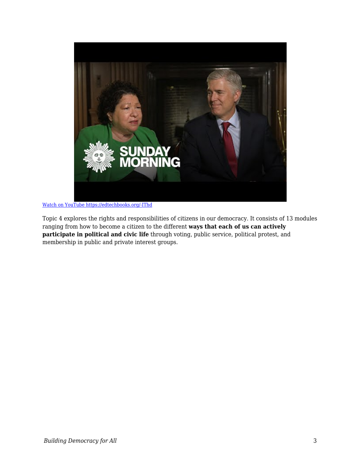

[Watch on YouTube https://edtechbooks.org/-IThd](https://www.youtube.com/embed/k4mRL75rRu4?autoplay=1&rel=0&showinfo=0&modestbranding=1)

Topic 4 explores the rights and responsibilities of citizens in our democracy. It consists of 13 modules ranging from how to become a citizen to the different **ways that each of us can actively participate in political and civic life** through voting, public service, political protest, and membership in public and private interest groups.